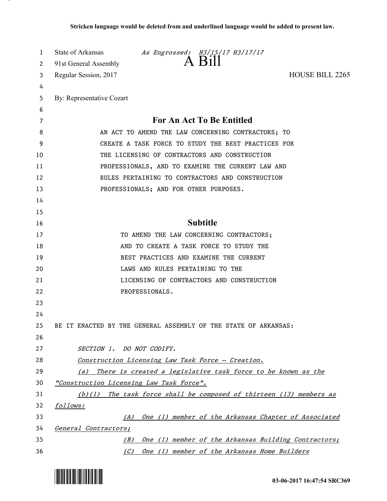| 1<br>2   | State of Arkansas As Engrossed: H3/15/17 H3/17/17<br>A Bill<br>91st General Assembly |
|----------|--------------------------------------------------------------------------------------|
| 3        | <b>HOUSE BILL 2265</b><br>Regular Session, 2017                                      |
| 4        |                                                                                      |
| 5        | By: Representative Cozart                                                            |
| 6        |                                                                                      |
| 7        | For An Act To Be Entitled                                                            |
| 8        | AN ACT TO AMEND THE LAW CONCERNING CONTRACTORS; TO                                   |
| 9        | CREATE A TASK FORCE TO STUDY THE BEST PRACTICES FOR                                  |
| 10       | THE LICENSING OF CONTRACTORS AND CONSTRUCTION                                        |
| 11       | PROFESSIONALS, AND TO EXAMINE THE CURRENT LAW AND                                    |
| 12       | RULES PERTAINING TO CONTRACTORS AND CONSTRUCTION                                     |
| 13       | PROFESSIONALS; AND FOR OTHER PURPOSES.                                               |
| 14       |                                                                                      |
| 15       |                                                                                      |
| 16       | <b>Subtitle</b>                                                                      |
| 17       | TO AMEND THE LAW CONCERNING CONTRACTORS;                                             |
| 18       | AND TO CREATE A TASK FORCE TO STUDY THE                                              |
| 19       | BEST PRACTICES AND EXAMINE THE CURRENT                                               |
| 20       | LAWS AND RULES PERTAINING TO THE                                                     |
| 21       | LICENSING OF CONTRACTORS AND CONSTRUCTION                                            |
| 22       | PROFESSIONALS.                                                                       |
| 23       |                                                                                      |
| 24       |                                                                                      |
| 25       | BE IT ENACTED BY THE GENERAL ASSEMBLY OF THE STATE OF ARKANSAS:                      |
| 26       |                                                                                      |
| 27       | SECTION 1. DO NOT CODIFY.                                                            |
| 28       | Construction Licensing Law Task Force - Creation.                                    |
| 29       | There is created a legislative task force to be known as the<br>(a)                  |
| 30       | "Construction Licensing Law Task Force".                                             |
| 31       | The task force shall be composed of thirteen (13) members as<br>(b)(1)               |
| 32       | follows:                                                                             |
| 33<br>34 | One (1) member of the Arkansas Chapter of Associated<br>(A)<br>General Contractors:  |
| 35       | One (1) member of the Arkansas Building Contractors;<br>(B)                          |
| 36       | (C)<br>One (1) member of the Arkansas Home Builders                                  |



.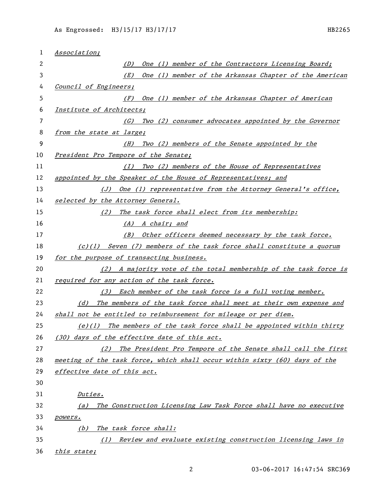| 1  | Association;                                                               |
|----|----------------------------------------------------------------------------|
| 2  | One (1) member of the Contractors Licensing Board;<br>(D)                  |
| 3  | One (1) member of the Arkansas Chapter of the American<br>(E)              |
| 4  | Council of Engineers;                                                      |
| 5  | One (1) member of the Arkansas Chapter of American<br>(F)                  |
| 6  | Institute of Architects;                                                   |
| 7  | Two (2) consumer advocates appointed by the Governor<br>(G)                |
| 8  | from the state at large;                                                   |
| 9  | Two (2) members of the Senate appointed by the<br>(H)                      |
| 10 | President Pro Tempore of the Senate;                                       |
| 11 | Two (2) members of the House of Representatives<br>(I)                     |
| 12 | appointed by the Speaker of the House of Representatives; and              |
| 13 | (J) One (1) representative from the Attorney General's office,             |
| 14 | selected by the Attorney General.                                          |
| 15 | (2) The task force shall elect from its membership:                        |
| 16 | (A) A chair; and                                                           |
| 17 | (B) Other officers deemed necessary by the task force.                     |
| 18 | $(c)(1)$ Seven (7) members of the task force shall constitute a quorum     |
| 19 | for the purpose of transacting business.                                   |
| 20 | (2) A majority vote of the total membership of the task force is           |
| 21 | required for any action of the task force.                                 |
| 22 | (3) Each member of the task force is a full voting member.                 |
| 23 | The members of the task force shall meet at their own expense and<br>(d)   |
| 24 | shall not be entitled to reimbursement for mileage or per diem.            |
| 25 | $(e)(1)$ The members of the task force shall be appointed within thirty    |
| 26 | (30) days of the effective date of this act.                               |
| 27 | (2) The President Pro Tempore of the Senate shall call the first           |
| 28 | meeting of the task force, which shall occur within sixty (60) days of the |
| 29 | effective date of this act.                                                |
| 30 |                                                                            |
| 31 | Duties.                                                                    |
| 32 | The Construction Licensing Law Task Force shall have no executive<br>(a)   |
| 33 | <i>powers.</i>                                                             |
| 34 | The task force shall:<br>(b)                                               |
| 35 | Review and evaluate existing construction licensing laws in<br>(1)         |
| 36 | this state;                                                                |